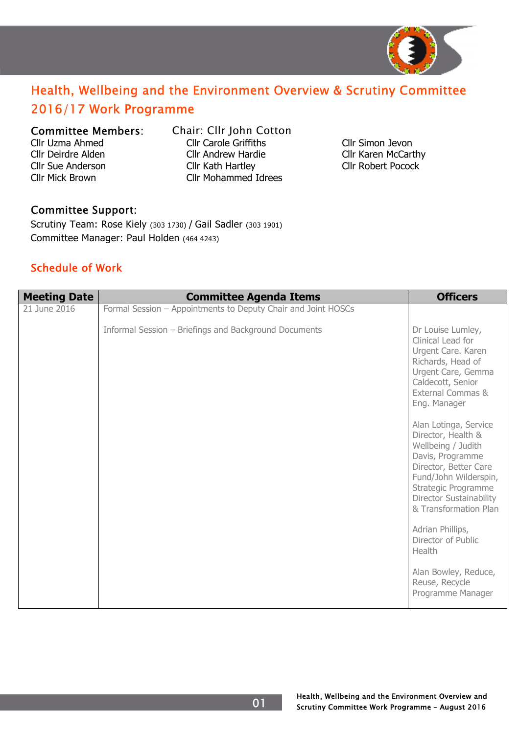

## Health, Wellbeing and the Environment Overview & Scrutiny Committee 2016/17 Work Programme

## Committee Members: Chair: Cllr John Cotton

- 
- Cllr Uzma Ahmed Cllr Carole Griffiths Cllr Simon Jevon Cllr Deirdre Alden Cllr Andrew Hardie Cllr Karen McCarthy Cllr Sue Anderson Cllr Kath Hartley Cllr Robert Pocock Cllr Mick Brown Cllr Mohammed Idrees

## Committee Support:

Scrutiny Team: Rose Kiely (303 1730) / Gail Sadler (303 1901) Committee Manager: Paul Holden (464 4243)

## Schedule of Work

| <b>Meeting Date</b> | <b>Committee Agenda Items</b>                                 | <b>Officers</b>                                                                                                                                                                                                    |
|---------------------|---------------------------------------------------------------|--------------------------------------------------------------------------------------------------------------------------------------------------------------------------------------------------------------------|
| 21 June 2016        | Formal Session - Appointments to Deputy Chair and Joint HOSCs |                                                                                                                                                                                                                    |
|                     | Informal Session - Briefings and Background Documents         | Dr Louise Lumley,<br>Clinical Lead for<br>Urgent Care. Karen<br>Richards, Head of<br>Urgent Care, Gemma<br>Caldecott, Senior<br>External Commas &<br>Eng. Manager                                                  |
|                     |                                                               | Alan Lotinga, Service<br>Director, Health &<br>Wellbeing / Judith<br>Davis, Programme<br>Director, Better Care<br>Fund/John Wilderspin,<br>Strategic Programme<br>Director Sustainability<br>& Transformation Plan |
|                     |                                                               | Adrian Phillips,<br>Director of Public<br>Health                                                                                                                                                                   |
|                     |                                                               | Alan Bowley, Reduce,<br>Reuse, Recycle<br>Programme Manager                                                                                                                                                        |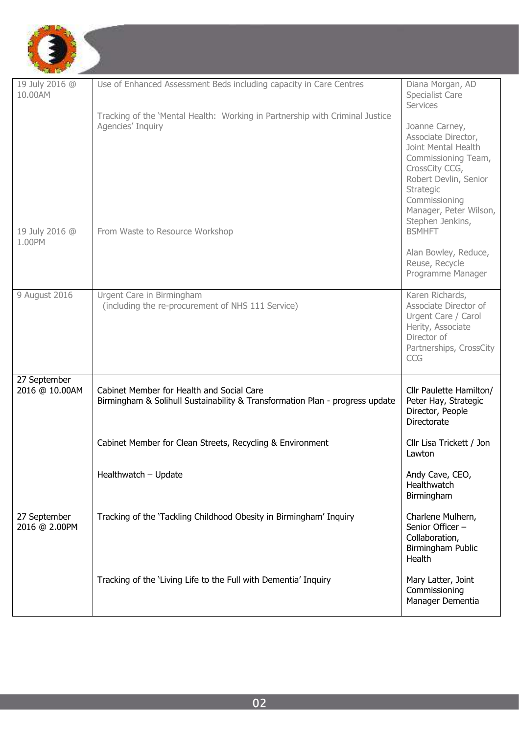

| 19 July 2016 @<br>10.00AM      | Use of Enhanced Assessment Beds including capacity in Care Centres                                                        | Diana Morgan, AD<br>Specialist Care<br>Services                                                                                                                                                            |
|--------------------------------|---------------------------------------------------------------------------------------------------------------------------|------------------------------------------------------------------------------------------------------------------------------------------------------------------------------------------------------------|
|                                | Tracking of the 'Mental Health: Working in Partnership with Criminal Justice<br>Agencies' Inquiry                         | Joanne Carney,<br>Associate Director,<br>Joint Mental Health<br>Commissioning Team,<br>CrossCity CCG,<br>Robert Devlin, Senior<br>Strategic<br>Commissioning<br>Manager, Peter Wilson,<br>Stephen Jenkins, |
| 19 July 2016 @<br>1.00PM       | From Waste to Resource Workshop                                                                                           | <b>BSMHFT</b><br>Alan Bowley, Reduce,<br>Reuse, Recycle<br>Programme Manager                                                                                                                               |
| 9 August 2016                  | Urgent Care in Birmingham<br>(including the re-procurement of NHS 111 Service)                                            | Karen Richards,<br>Associate Director of<br>Urgent Care / Carol<br>Herity, Associate<br>Director of<br>Partnerships, CrossCity<br>CCG                                                                      |
| 27 September<br>2016 @ 10.00AM | Cabinet Member for Health and Social Care<br>Birmingham & Solihull Sustainability & Transformation Plan - progress update | Cllr Paulette Hamilton/<br>Peter Hay, Strategic<br>Director, People<br><b>Directorate</b>                                                                                                                  |
|                                | Cabinet Member for Clean Streets, Recycling & Environment                                                                 | Cllr Lisa Trickett / Jon<br>Lawton                                                                                                                                                                         |
|                                | Healthwatch - Update                                                                                                      | Andy Cave, CEO,<br>Healthwatch<br>Birmingham                                                                                                                                                               |
| 27 September<br>2016 @ 2.00PM  | Tracking of the 'Tackling Childhood Obesity in Birmingham' Inquiry                                                        | Charlene Mulhern,<br>Senior Officer -<br>Collaboration,<br>Birmingham Public<br>Health                                                                                                                     |
|                                | Tracking of the 'Living Life to the Full with Dementia' Inquiry                                                           | Mary Latter, Joint<br>Commissioning<br>Manager Dementia                                                                                                                                                    |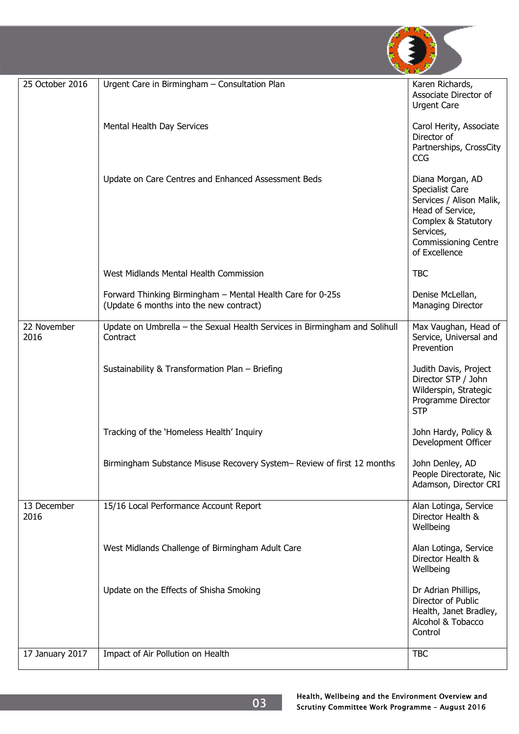

| 25 October 2016     | Urgent Care in Birmingham - Consultation Plan                                                         | Karen Richards,<br>Associate Director of<br><b>Urgent Care</b>                                                                                                          |
|---------------------|-------------------------------------------------------------------------------------------------------|-------------------------------------------------------------------------------------------------------------------------------------------------------------------------|
|                     | Mental Health Day Services                                                                            | Carol Herity, Associate<br>Director of<br>Partnerships, CrossCity<br><b>CCG</b>                                                                                         |
|                     | Update on Care Centres and Enhanced Assessment Beds                                                   | Diana Morgan, AD<br>Specialist Care<br>Services / Alison Malik,<br>Head of Service,<br>Complex & Statutory<br>Services,<br><b>Commissioning Centre</b><br>of Excellence |
|                     | West Midlands Mental Health Commission                                                                | <b>TBC</b>                                                                                                                                                              |
|                     | Forward Thinking Birmingham - Mental Health Care for 0-25s<br>(Update 6 months into the new contract) | Denise McLellan,<br>Managing Director                                                                                                                                   |
| 22 November<br>2016 | Update on Umbrella - the Sexual Health Services in Birmingham and Solihull<br>Contract                | Max Vaughan, Head of<br>Service, Universal and<br>Prevention                                                                                                            |
|                     | Sustainability & Transformation Plan - Briefing                                                       | Judith Davis, Project<br>Director STP / John<br>Wilderspin, Strategic<br>Programme Director<br><b>STP</b>                                                               |
|                     | Tracking of the 'Homeless Health' Inquiry                                                             | John Hardy, Policy &<br>Development Officer                                                                                                                             |
|                     | Birmingham Substance Misuse Recovery System- Review of first 12 months                                | John Denley, AD<br>People Directorate, Nic<br>Adamson, Director CRI                                                                                                     |
| 13 December<br>2016 | 15/16 Local Performance Account Report                                                                | Alan Lotinga, Service<br>Director Health &<br>Wellbeing                                                                                                                 |
|                     | West Midlands Challenge of Birmingham Adult Care                                                      | Alan Lotinga, Service<br>Director Health &<br>Wellbeing                                                                                                                 |
|                     | Update on the Effects of Shisha Smoking                                                               | Dr Adrian Phillips,<br>Director of Public<br>Health, Janet Bradley,<br>Alcohol & Tobacco<br>Control                                                                     |
| 17 January 2017     | Impact of Air Pollution on Health                                                                     | <b>TBC</b>                                                                                                                                                              |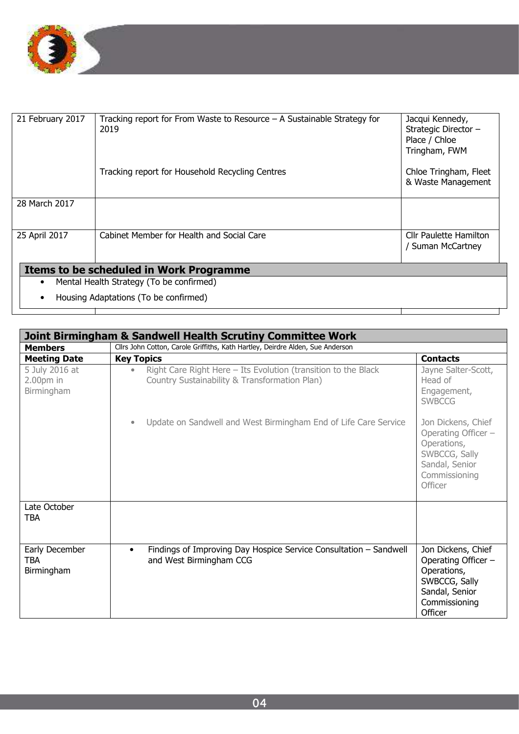

| 21 February 2017                              | Tracking report for From Waste to Resource $-$ A Sustainable Strategy for<br>2019 | Jacqui Kennedy,<br>Strategic Director -<br>Place / Chloe<br>Tringham, FWM |
|-----------------------------------------------|-----------------------------------------------------------------------------------|---------------------------------------------------------------------------|
|                                               | Tracking report for Household Recycling Centres                                   | Chloe Tringham, Fleet<br>& Waste Management                               |
| 28 March 2017                                 |                                                                                   |                                                                           |
| 25 April 2017                                 | Cabinet Member for Health and Social Care                                         | <b>Cllr Paulette Hamilton</b><br>/ Suman McCartney                        |
| Items to be scheduled in Work Programme       |                                                                                   |                                                                           |
| Mental Health Strategy (To be confirmed)<br>٠ |                                                                                   |                                                                           |
|                                               | Housing Adaptations (To be confirmed)                                             |                                                                           |

| <b>Joint Birmingham &amp; Sandwell Health Scrutiny Committee Work</b> |                                                                                                                              |                                                                                                                         |  |  |
|-----------------------------------------------------------------------|------------------------------------------------------------------------------------------------------------------------------|-------------------------------------------------------------------------------------------------------------------------|--|--|
| <b>Members</b>                                                        | Cllrs John Cotton, Carole Griffiths, Kath Hartley, Deirdre Alden, Sue Anderson                                               |                                                                                                                         |  |  |
| <b>Meeting Date</b>                                                   | <b>Key Topics</b><br><b>Contacts</b>                                                                                         |                                                                                                                         |  |  |
| 5 July 2016 at<br>$2.00pm$ in<br>Birmingham                           | Right Care Right Here - Its Evolution (transition to the Black<br>$\bullet$<br>Country Sustainability & Transformation Plan) | Jayne Salter-Scott,<br>Head of<br>Engagement,<br><b>SWBCCG</b>                                                          |  |  |
|                                                                       | Update on Sandwell and West Birmingham End of Life Care Service<br>$\bullet$                                                 | Jon Dickens, Chief<br>Operating Officer -<br>Operations,<br>SWBCCG, Sally<br>Sandal, Senior<br>Commissioning<br>Officer |  |  |
| Late October<br>TBA                                                   |                                                                                                                              |                                                                                                                         |  |  |
| Early December<br><b>TBA</b><br>Birmingham                            | Findings of Improving Day Hospice Service Consultation - Sandwell<br>$\bullet$<br>and West Birmingham CCG                    | Jon Dickens, Chief<br>Operating Officer -<br>Operations,<br>SWBCCG, Sally<br>Sandal, Senior<br>Commissioning<br>Officer |  |  |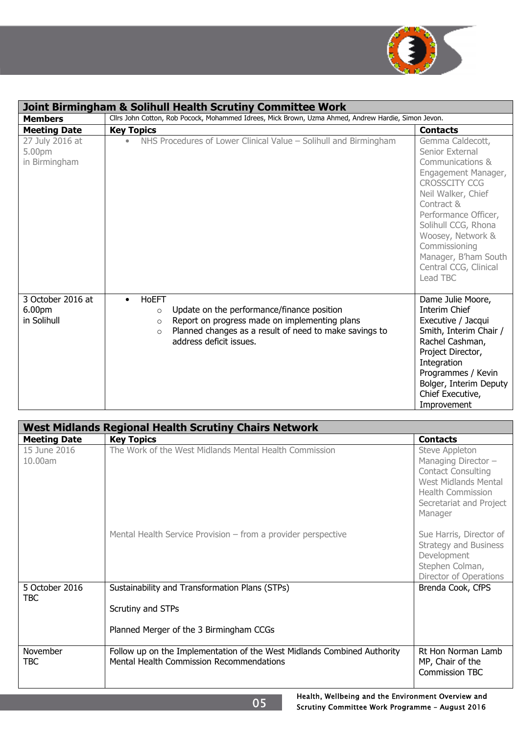

| Joint Birmingham & Solihull Health Scrutiny Committee Work |                                                                                                                                                                                                                                                |                                                                                                                                                                                                                                                                                              |  |
|------------------------------------------------------------|------------------------------------------------------------------------------------------------------------------------------------------------------------------------------------------------------------------------------------------------|----------------------------------------------------------------------------------------------------------------------------------------------------------------------------------------------------------------------------------------------------------------------------------------------|--|
| <b>Members</b>                                             | Cllrs John Cotton, Rob Pocock, Mohammed Idrees, Mick Brown, Uzma Ahmed, Andrew Hardie, Simon Jevon.                                                                                                                                            |                                                                                                                                                                                                                                                                                              |  |
| <b>Meeting Date</b>                                        | <b>Key Topics</b>                                                                                                                                                                                                                              | <b>Contacts</b>                                                                                                                                                                                                                                                                              |  |
| 27 July 2016 at<br>5.00pm<br>in Birmingham                 | NHS Procedures of Lower Clinical Value - Solihull and Birmingham<br>$\bullet$                                                                                                                                                                  | Gemma Caldecott,<br>Senior External<br>Communications &<br>Engagement Manager,<br><b>CROSSCITY CCG</b><br>Neil Walker, Chief<br>Contract &<br>Performance Officer,<br>Solihull CCG, Rhona<br>Woosey, Network &<br>Commissioning<br>Manager, B'ham South<br>Central CCG, Clinical<br>Lead TBC |  |
| 3 October 2016 at<br>6.00pm<br>in Solihull                 | <b>HoEFT</b><br>$\bullet$<br>Update on the performance/finance position<br>$\circ$<br>Report on progress made on implementing plans<br>$\circ$<br>Planned changes as a result of need to make savings to<br>$\circ$<br>address deficit issues. | Dame Julie Moore,<br>Interim Chief<br>Executive / Jacqui<br>Smith, Interim Chair /<br>Rachel Cashman,<br>Project Director,<br>Integration<br>Programmes / Kevin<br>Bolger, Interim Deputy<br>Chief Executive,<br>Improvement                                                                 |  |

| <b>West Midlands Regional Health Scrutiny Chairs Network</b> |                                                                                                                     |                                                                                                                                                              |  |
|--------------------------------------------------------------|---------------------------------------------------------------------------------------------------------------------|--------------------------------------------------------------------------------------------------------------------------------------------------------------|--|
| <b>Meeting Date</b>                                          | <b>Key Topics</b>                                                                                                   | <b>Contacts</b>                                                                                                                                              |  |
| 15 June 2016<br>10.00am                                      | The Work of the West Midlands Mental Health Commission                                                              | Steve Appleton<br>Managing Director -<br><b>Contact Consulting</b><br>West Midlands Mental<br><b>Health Commission</b><br>Secretariat and Project<br>Manager |  |
|                                                              | Mental Health Service Provision - from a provider perspective                                                       | Sue Harris, Director of<br><b>Strategy and Business</b><br>Development<br>Stephen Colman,<br>Director of Operations                                          |  |
| 5 October 2016<br>TBC                                        | Sustainability and Transformation Plans (STPs)                                                                      | Brenda Cook, CfPS                                                                                                                                            |  |
|                                                              | Scrutiny and STPs                                                                                                   |                                                                                                                                                              |  |
|                                                              | Planned Merger of the 3 Birmingham CCGs                                                                             |                                                                                                                                                              |  |
| November<br>TBC                                              | Follow up on the Implementation of the West Midlands Combined Authority<br>Mental Health Commission Recommendations | Rt Hon Norman Lamb<br>MP, Chair of the<br><b>Commission TBC</b>                                                                                              |  |